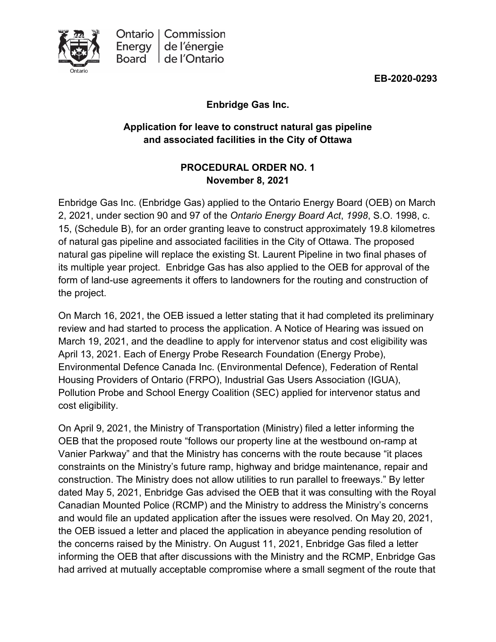**EB-2020-0293**

### **Enbridge Gas Inc.**

### **Application for leave to construct natural gas pipeline and associated facilities in the City of Ottawa**

### **PROCEDURAL ORDER NO. 1 November 8, 2021**

Enbridge Gas Inc. (Enbridge Gas) applied to the Ontario Energy Board (OEB) on March 2, 2021, under section 90 and 97 of the *Ontario Energy Board Act*, *1998*, S.O. 1998, c. 15, (Schedule B), for an order granting leave to construct approximately 19.8 kilometres of natural gas pipeline and associated facilities in the City of Ottawa. The proposed natural gas pipeline will replace the existing St. Laurent Pipeline in two final phases of its multiple year project. Enbridge Gas has also applied to the OEB for approval of the form of land-use agreements it offers to landowners for the routing and construction of the project.

On March 16, 2021, the OEB issued a letter stating that it had completed its preliminary review and had started to process the application. A Notice of Hearing was issued on March 19, 2021, and the deadline to apply for intervenor status and cost eligibility was April 13, 2021. Each of Energy Probe Research Foundation (Energy Probe), Environmental Defence Canada Inc. (Environmental Defence), Federation of Rental Housing Providers of Ontario (FRPO), Industrial Gas Users Association (IGUA), Pollution Probe and School Energy Coalition (SEC) applied for intervenor status and cost eligibility.

On April 9, 2021, the Ministry of Transportation (Ministry) filed a letter informing the OEB that the proposed route "follows our property line at the westbound on-ramp at Vanier Parkway" and that the Ministry has concerns with the route because "it places constraints on the Ministry's future ramp, highway and bridge maintenance, repair and construction. The Ministry does not allow utilities to run parallel to freeways." By letter dated May 5, 2021, Enbridge Gas advised the OEB that it was consulting with the Royal Canadian Mounted Police (RCMP) and the Ministry to address the Ministry's concerns and would file an updated application after the issues were resolved. On May 20, 2021, the OEB issued a letter and placed the application in abeyance pending resolution of the concerns raised by the Ministry. On August 11, 2021, Enbridge Gas filed a letter informing the OEB that after discussions with the Ministry and the RCMP, Enbridge Gas had arrived at mutually acceptable compromise where a small segment of the route that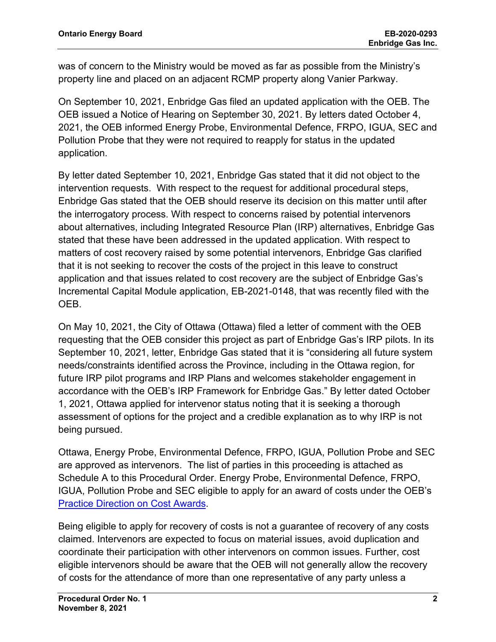was of concern to the Ministry would be moved as far as possible from the Ministry's property line and placed on an adjacent RCMP property along Vanier Parkway.

On September 10, 2021, Enbridge Gas filed an updated application with the OEB. The OEB issued a Notice of Hearing on September 30, 2021. By letters dated October 4, 2021, the OEB informed Energy Probe, Environmental Defence, FRPO, IGUA, SEC and Pollution Probe that they were not required to reapply for status in the updated application.

By letter dated September 10, 2021, Enbridge Gas stated that it did not object to the intervention requests. With respect to the request for additional procedural steps, Enbridge Gas stated that the OEB should reserve its decision on this matter until after the interrogatory process. With respect to concerns raised by potential intervenors about alternatives, including Integrated Resource Plan (IRP) alternatives, Enbridge Gas stated that these have been addressed in the updated application. With respect to matters of cost recovery raised by some potential intervenors, Enbridge Gas clarified that it is not seeking to recover the costs of the project in this leave to construct application and that issues related to cost recovery are the subject of Enbridge Gas's Incremental Capital Module application, EB-2021-0148, that was recently filed with the OEB.

On May 10, 2021, the City of Ottawa (Ottawa) filed a letter of comment with the OEB requesting that the OEB consider this project as part of Enbridge Gas's IRP pilots. In its September 10, 2021, letter, Enbridge Gas stated that it is "considering all future system needs/constraints identified across the Province, including in the Ottawa region, for future IRP pilot programs and IRP Plans and welcomes stakeholder engagement in accordance with the OEB's IRP Framework for Enbridge Gas." By letter dated October 1, 2021, Ottawa applied for intervenor status noting that it is seeking a thorough assessment of options for the project and a credible explanation as to why IRP is not being pursued.

Ottawa, Energy Probe, Environmental Defence, FRPO, IGUA, Pollution Probe and SEC are approved as intervenors. The list of parties in this proceeding is attached as Schedule A to this Procedural Order. Energy Probe, Environmental Defence, FRPO, IGUA, Pollution Probe and SEC eligible to apply for an award of costs under the OEB's [Practice Direction on Cost Awards.](https://www.oeb.ca/industry/rules-codes-and-requirements/practice-direction-cost-awards)

Being eligible to apply for recovery of costs is not a guarantee of recovery of any costs claimed. Intervenors are expected to focus on material issues, avoid duplication and coordinate their participation with other intervenors on common issues. Further, cost eligible intervenors should be aware that the OEB will not generally allow the recovery of costs for the attendance of more than one representative of any party unless a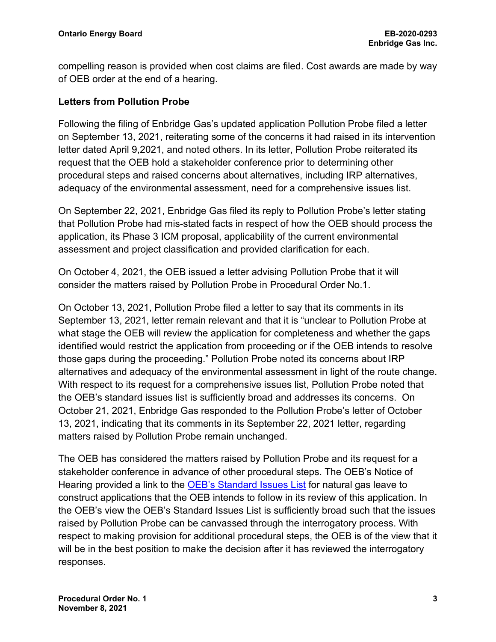compelling reason is provided when cost claims are filed. Cost awards are made by way of OEB order at the end of a hearing.

### **Letters from Pollution Probe**

Following the filing of Enbridge Gas's updated application Pollution Probe filed a letter on September 13, 2021, reiterating some of the concerns it had raised in its intervention letter dated April 9,2021, and noted others. In its letter, Pollution Probe reiterated its request that the OEB hold a stakeholder conference prior to determining other procedural steps and raised concerns about alternatives, including IRP alternatives, adequacy of the environmental assessment, need for a comprehensive issues list.

On September 22, 2021, Enbridge Gas filed its reply to Pollution Probe's letter stating that Pollution Probe had mis-stated facts in respect of how the OEB should process the application, its Phase 3 ICM proposal, applicability of the current environmental assessment and project classification and provided clarification for each.

On October 4, 2021, the OEB issued a letter advising Pollution Probe that it will consider the matters raised by Pollution Probe in Procedural Order No.1.

On October 13, 2021, Pollution Probe filed a letter to say that its comments in its September 13, 2021, letter remain relevant and that it is "unclear to Pollution Probe at what stage the OEB will review the application for completeness and whether the gaps identified would restrict the application from proceeding or if the OEB intends to resolve those gaps during the proceeding." Pollution Probe noted its concerns about IRP alternatives and adequacy of the environmental assessment in light of the route change. With respect to its request for a comprehensive issues list, Pollution Probe noted that the OEB's standard issues list is sufficiently broad and addresses its concerns. On October 21, 2021, Enbridge Gas responded to the Pollution Probe's letter of October 13, 2021, indicating that its comments in its September 22, 2021 letter, regarding matters raised by Pollution Probe remain unchanged.

The OEB has considered the matters raised by Pollution Probe and its request for a stakeholder conference in advance of other procedural steps. The OEB's Notice of Hearing provided a link to the [OEB's Standard Issues List](https://www.oeb.ca/sites/default/files/issues-list-LTC-natural-gas.pdf) for natural gas leave to construct applications that the OEB intends to follow in its review of this application. In the OEB's view the OEB's Standard Issues List is sufficiently broad such that the issues raised by Pollution Probe can be canvassed through the interrogatory process. With respect to making provision for additional procedural steps, the OEB is of the view that it will be in the best position to make the decision after it has reviewed the interrogatory responses.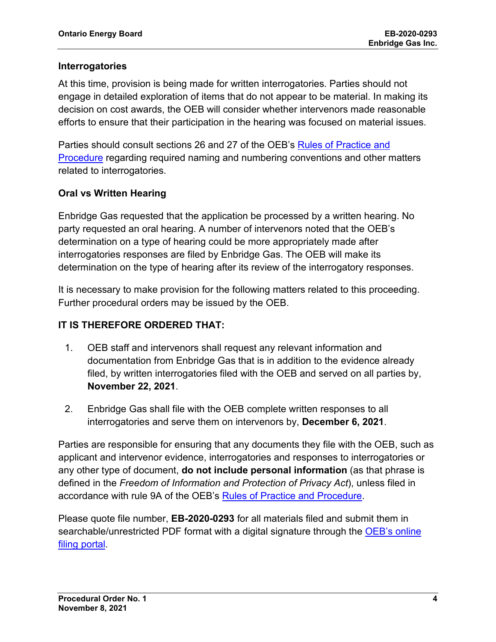### **Interrogatories**

At this time, provision is being made for written interrogatories. Parties should not engage in detailed exploration of items that do not appear to be material. In making its decision on cost awards, the OEB will consider whether intervenors made reasonable efforts to ensure that their participation in the hearing was focused on material issues.

Parties should consult sections 26 and 27 of the OEB's [Rules of Practice and](https://www.oeb.ca/industry/rules-codes-and-requirements/rules-practice-procedure)  [Procedure](https://www.oeb.ca/industry/rules-codes-and-requirements/rules-practice-procedure) regarding required naming and numbering conventions and other matters related to interrogatories.

### **Oral vs Written Hearing**

Enbridge Gas requested that the application be processed by a written hearing. No party requested an oral hearing. A number of intervenors noted that the OEB's determination on a type of hearing could be more appropriately made after interrogatories responses are filed by Enbridge Gas. The OEB will make its determination on the type of hearing after its review of the interrogatory responses.

It is necessary to make provision for the following matters related to this proceeding. Further procedural orders may be issued by the OEB.

### **IT IS THEREFORE ORDERED THAT:**

- 1. OEB staff and intervenors shall request any relevant information and documentation from Enbridge Gas that is in addition to the evidence already filed, by written interrogatories filed with the OEB and served on all parties by, **November 22, 2021**.
- 2. Enbridge Gas shall file with the OEB complete written responses to all interrogatories and serve them on intervenors by, **December 6, 2021**.

Parties are responsible for ensuring that any documents they file with the OEB, such as applicant and intervenor evidence, interrogatories and responses to interrogatories or any other type of document, **do not include personal information** (as that phrase is defined in the *Freedom of Information and Protection of Privacy Act*), unless filed in accordance with rule 9A of the OEB's [Rules of Practice and Procedure.](https://www.oeb.ca/industry/rules-codes-and-requirements/rules-practice-procedure)

Please quote file number, **EB-2020-0293** for all materials filed and submit them in searchable/unrestricted PDF format with a digital signature through the [OEB's online](https://p-pes.ontarioenergyboard.ca/PivotalUX/)  [filing portal.](https://p-pes.ontarioenergyboard.ca/PivotalUX/)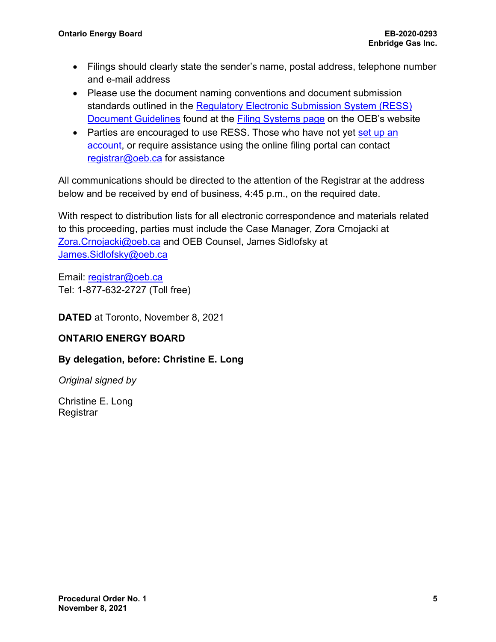- Filings should clearly state the sender's name, postal address, telephone number and e-mail address
- Please use the document naming conventions and document submission standards outlined in the Regulatory Electronic Submission System (RESS) [Document Guidelines](https://www.oeb.ca/sites/default/files/RESS-Document-Guidelines-202006.pdf) found at the **Filing Systems page** on the OEB's website
- Parties are encouraged to use RESS. Those who have not yet set up an [account,](https://www.oeb.ca/oeb/_Documents/e-Filing/Electronic_User_Form.pdf?v=20200331) or require assistance using the online filing portal can contact [registrar@oeb.ca](mailto:registrar@oeb.ca) for assistance

All communications should be directed to the attention of the Registrar at the address below and be received by end of business, 4:45 p.m., on the required date.

With respect to distribution lists for all electronic correspondence and materials related to this proceeding, parties must include the Case Manager, Zora Crnojacki at [Zora.Crnojacki@oeb.ca](mailto:Zora.Crnojacki@oeb.ca) and OEB Counsel, James Sidlofsky at [James.Sidlofsky@oeb.ca](mailto:James.Sidlofsky@oeb.ca)

Email: [registrar@oeb.ca](mailto:registrar@oeb.ca) Tel: 1-877-632-2727 (Toll free)

**DATED** at Toronto, November 8, 2021

### **ONTARIO ENERGY BOARD**

### **By delegation, before: Christine E. Long**

*Original signed by*

Christine E. Long **Registrar**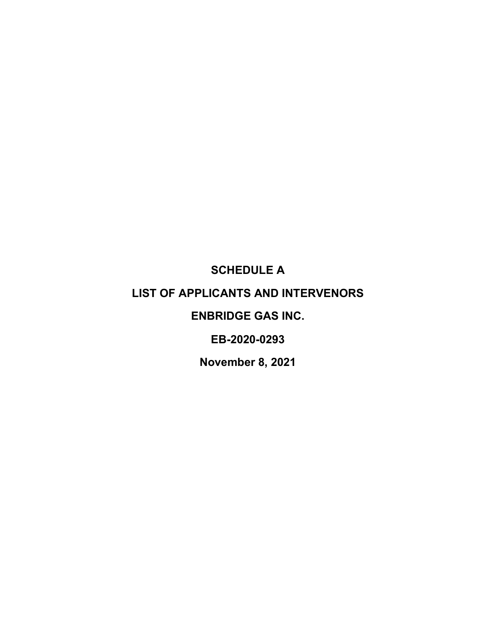**SCHEDULE A**

## **LIST OF APPLICANTS AND INTERVENORS**

## **ENBRIDGE GAS INC.**

**EB-2020-0293**

**November 8, 2021**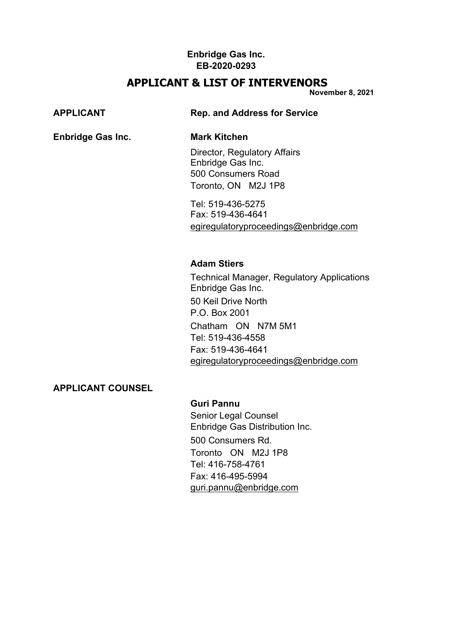### **APPLICANT & LIST OF INTERVENORS**

**November 8, 2021** 

### **Enbridge Gas Inc. Mark Kitchen**

**APPLICANT Rep. and Address for Service**

Director, Regulatory Affairs Enbridge Gas Inc. 500 Consumers Road Toronto, ON M2J 1P8

Tel: 519-436-5275 Fax: 519-436-4641 [egiregulatoryproceedings@enbridge.com](mailto:egiregulatoryproceedings@enbridge.com)

### **Adam Stiers**

Technical Manager, Regulatory Applications Enbridge Gas Inc. 50 Keil Drive North P.O. Box 2001 Chatham ON N7M 5M1 Tel: 519-436-4558 Fax: 519-436-4641 [egiregulatoryproceedings@enbridge.com](mailto:egiregulatoryproceedings@enbridge.com)

### **APPLICANT COUNSEL**

### **Guri Pannu**

Senior Legal Counsel Enbridge Gas Distribution Inc. 500 Consumers Rd. Toronto ON M2J 1P8 Tel: 416-758-4761 Fax: 416-495-5994 [guri.pannu@enbridge.com](mailto:guri.pannu@enbridge.com)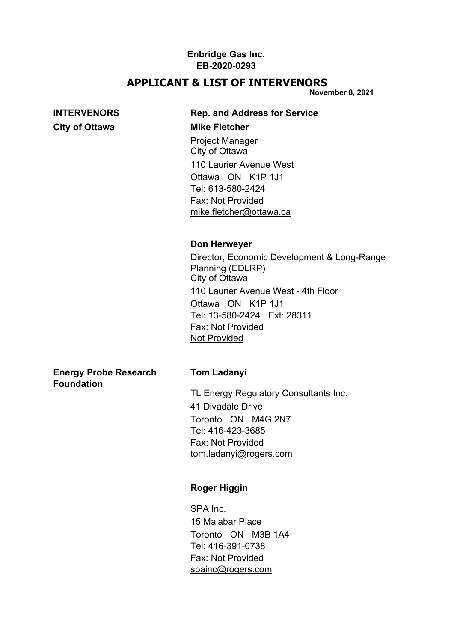## **APPLICANT & LIST OF INTERVENORS**

**November 8, 2021** 

# **City of Ottawa Mike Fletcher**

## **INTERVENORS Rep. and Address for Service** Project Manager

City of Ottawa 110 Laurier Avenue West Ottawa ON K1P 1J1 Tel: 613-580-2424 Fax: Not Provided [mike.fletcher@ottawa.ca](mailto:mike.fletcher@ottawa.ca)

### **Don Herweyer**

Director, Economic Development & Long-Range Planning (EDLRP) City of Ottawa 110 Laurier Avenue West - 4th Floor Ottawa ON K1P 1J1 Tel: 13-580-2424 Ext: 28311 Fax: Not Provided [Not Provided](mailto:Not%20Provided)

**Energy Probe Research Tom Ladanyi Foundation**

TL Energy Regulatory Consultants Inc. 41 Divadale Drive Toronto ON M4G 2N7 Tel: 416-423-3685 Fax: Not Provided [tom.ladanyi@rogers.com](mailto:tom.ladanyi@rogers.com)

### **Roger Higgin**

SPA Inc. 15 Malabar Place Toronto ON M3B 1A4 Tel: 416-391-0738 Fax: Not Provided [spainc@rogers.com](mailto:spainc@rogers.com)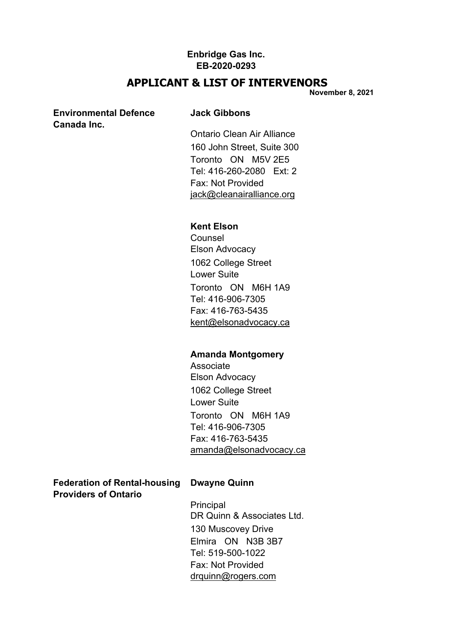### **APPLICANT & LIST OF INTERVENORS**

**November 8, 2021** 

### **Environmental Defence Jack Gibbons Canada Inc.**

Ontario Clean Air Alliance 160 John Street, Suite 300 Toronto ON M5V 2E5 Tel: 416-260-2080 Ext: 2 Fax: Not Provided [jack@cleanairalliance.org](mailto:jack@cleanairalliance.org)

### **Kent Elson**

**Counsel** Elson Advocacy 1062 College Street Lower Suite Toronto ON M6H 1A9 Tel: 416-906-7305 Fax: 416-763-5435 [kent@elsonadvocacy.ca](mailto:kent@elsonadvocacy.ca)

### **Amanda Montgomery**

Associate Elson Advocacy 1062 College Street Lower Suite Toronto ON M6H 1A9 Tel: 416-906-7305 Fax: 416-763-5435 [amanda@elsonadvocacy.ca](mailto:amanda@elsonadvocacy.ca)

**Federation of Rental-housing Dwayne Quinn Providers of Ontario**

**Principal** DR Quinn & Associates Ltd. 130 Muscovey Drive Elmira ON N3B 3B7 Tel: 519-500-1022 Fax: Not Provided [drquinn@rogers.com](mailto:drquinn@rogers.com)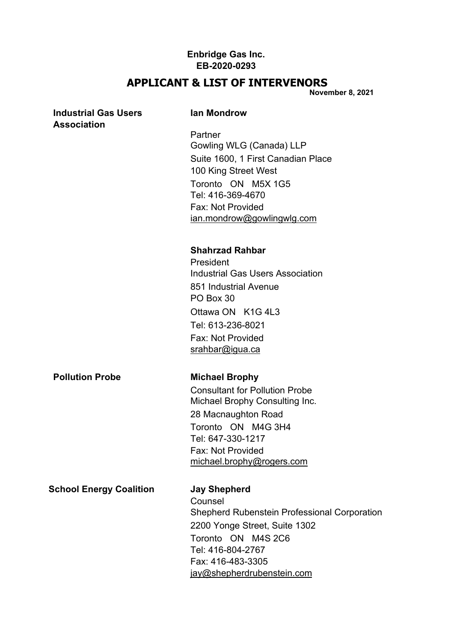### **APPLICANT & LIST OF INTERVENORS**

**November 8, 2021** 

## **Industrial Gas Users Ian Mondrow Association Partner** Gowling WLG (Canada) LLP Suite 1600, 1 First Canadian Place 100 King Street West Toronto ON M5X 1G5 Tel: 416-369-4670 Fax: Not Provided [ian.mondrow@gowlingwlg.com](mailto:ian.mondrow@gowlingwlg.com) **Shahrzad Rahbar President** Industrial Gas Users Association 851 Industrial Avenue PO Box 30 Ottawa ON K1G 4L3 Tel: 613-236-8021 Fax: Not Provided [srahbar@igua.ca](mailto:srahbar@igua.ca) **Pollution Probe Michael Brophy** Consultant for Pollution Probe Michael Brophy Consulting Inc. 28 Macnaughton Road Toronto ON M4G 3H4 Tel: 647-330-1217 Fax: Not Provided [michael.brophy@rogers.com](mailto:michael.brophy@rogers.com) **School Energy Coalition Jay Shepherd** Counsel Shepherd Rubenstein Professional Corporation 2200 Yonge Street, Suite 1302 Toronto ON M4S 2C6 Tel: 416-804-2767 Fax: 416-483-3305

[jay@shepherdrubenstein.com](mailto:jay@shepherdrubenstein.com)